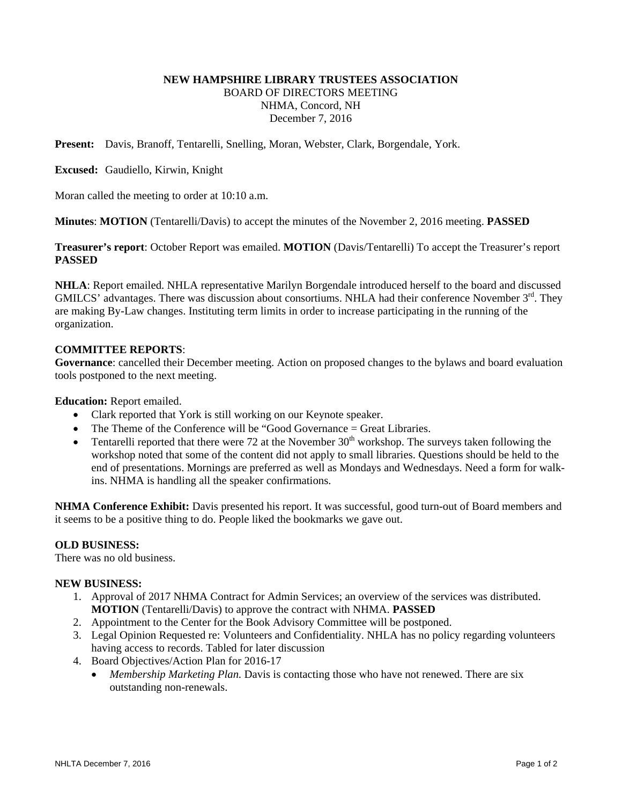# **NEW HAMPSHIRE LIBRARY TRUSTEES ASSOCIATION**  BOARD OF DIRECTORS MEETING NHMA, Concord, NH December 7, 2016

**Present:** Davis, Branoff, Tentarelli, Snelling, Moran, Webster, Clark, Borgendale, York.

**Excused:** Gaudiello, Kirwin, Knight

Moran called the meeting to order at 10:10 a.m.

**Minutes**: **MOTION** (Tentarelli/Davis) to accept the minutes of the November 2, 2016 meeting. **PASSED**

**Treasurer's report**: October Report was emailed. **MOTION** (Davis/Tentarelli) To accept the Treasurer's report **PASSED** 

**NHLA**: Report emailed. NHLA representative Marilyn Borgendale introduced herself to the board and discussed GMILCS' advantages. There was discussion about consortiums. NHLA had their conference November  $3<sup>rd</sup>$ . They are making By-Law changes. Instituting term limits in order to increase participating in the running of the organization.

## **COMMITTEE REPORTS**:

**Governance**: cancelled their December meeting. Action on proposed changes to the bylaws and board evaluation tools postponed to the next meeting.

**Education:** Report emailed.

- Clark reported that York is still working on our Keynote speaker.
- The Theme of the Conference will be "Good Governance = Great Libraries.
- Tentarelli reported that there were 72 at the November  $30<sup>th</sup>$  workshop. The surveys taken following the workshop noted that some of the content did not apply to small libraries. Questions should be held to the end of presentations. Mornings are preferred as well as Mondays and Wednesdays. Need a form for walkins. NHMA is handling all the speaker confirmations.

**NHMA Conference Exhibit:** Davis presented his report. It was successful, good turn-out of Board members and it seems to be a positive thing to do. People liked the bookmarks we gave out.

## **OLD BUSINESS:**

There was no old business.

#### **NEW BUSINESS:**

- 1. Approval of 2017 NHMA Contract for Admin Services; an overview of the services was distributed. **MOTION** (Tentarelli/Davis) to approve the contract with NHMA. **PASSED**
- 2. Appointment to the Center for the Book Advisory Committee will be postponed.
- 3. Legal Opinion Requested re: Volunteers and Confidentiality. NHLA has no policy regarding volunteers having access to records. Tabled for later discussion
- 4. Board Objectives/Action Plan for 2016-17
	- *Membership Marketing Plan.* Davis is contacting those who have not renewed. There are six outstanding non-renewals.